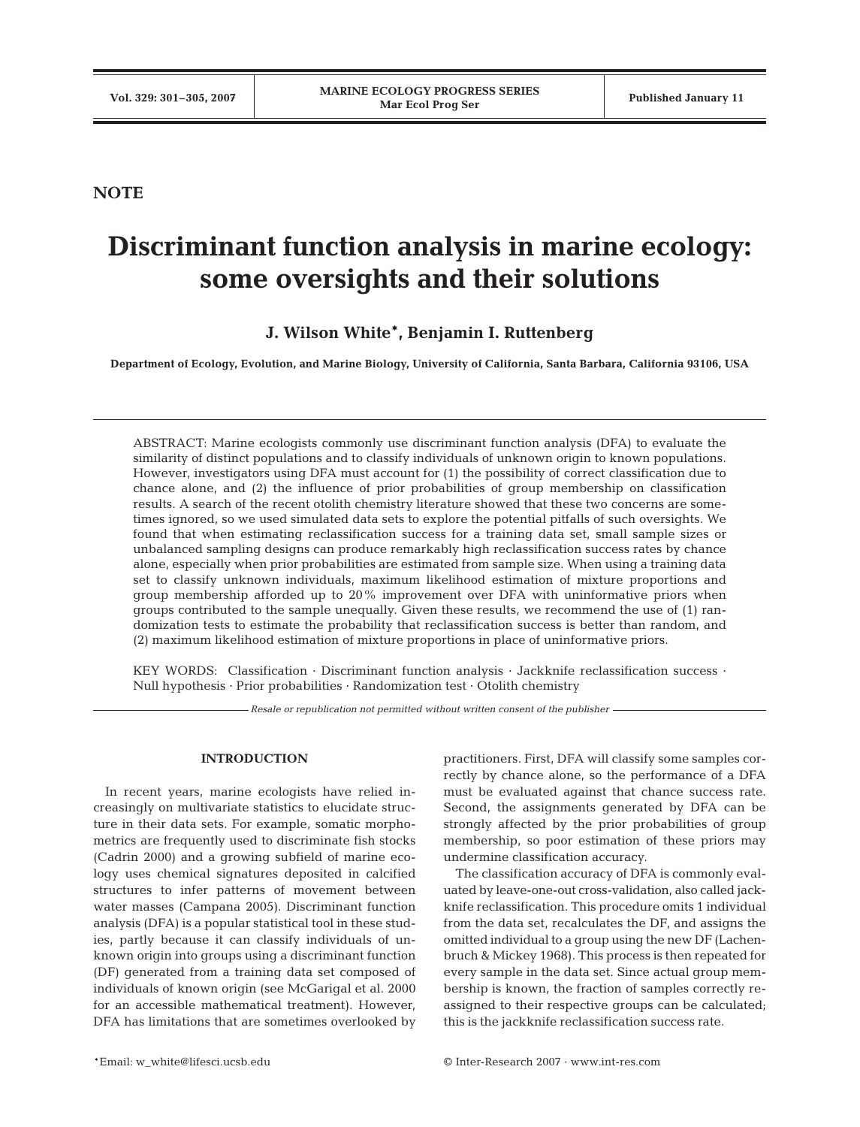# **NOTE**

# **Discriminant function analysis in marine ecology: some oversights and their solutions**

**J. Wilson White\*, Benjamin I. Ruttenberg**

**Department of Ecology, Evolution, and Marine Biology, University of California, Santa Barbara, California 93106, USA**

ABSTRACT: Marine ecologists commonly use discriminant function analysis (DFA) to evaluate the similarity of distinct populations and to classify individuals of unknown origin to known populations. However, investigators using DFA must account for (1) the possibility of correct classification due to chance alone, and (2) the influence of prior probabilities of group membership on classification results. A search of the recent otolith chemistry literature showed that these two concerns are sometimes ignored, so we used simulated data sets to explore the potential pitfalls of such oversights. We found that when estimating reclassification success for a training data set, small sample sizes or unbalanced sampling designs can produce remarkably high reclassification success rates by chance alone, especially when prior probabilities are estimated from sample size. When using a training data set to classify unknown individuals, maximum likelihood estimation of mixture proportions and group membership afforded up to 20% improvement over DFA with uninformative priors when groups contributed to the sample unequally. Given these results, we recommend the use of (1) randomization tests to estimate the probability that reclassification success is better than random, and (2) maximum likelihood estimation of mixture proportions in place of uninformative priors.

KEY WORDS: Classification · Discriminant function analysis · Jackknife reclassification success · Null hypothesis · Prior probabilities · Randomization test · Otolith chemistry

*Resale or republication not permitted without written consent of the publisher*

## **INTRODUCTION**

In recent years, marine ecologists have relied increasingly on multivariate statistics to elucidate structure in their data sets. For example, somatic morphometrics are frequently used to discriminate fish stocks (Cadrin 2000) and a growing subfield of marine ecology uses chemical signatures deposited in calcified structures to infer patterns of movement between water masses (Campana 2005). Discriminant function analysis (DFA) is a popular statistical tool in these studies, partly because it can classify individuals of unknown origin into groups using a discriminant function (DF) generated from a training data set composed of individuals of known origin (see McGarigal et al. 2000 for an accessible mathematical treatment). However, DFA has limitations that are sometimes overlooked by

practitioners. First, DFA will classify some samples correctly by chance alone, so the performance of a DFA must be evaluated against that chance success rate. Second, the assignments generated by DFA can be strongly affected by the prior probabilities of group membership, so poor estimation of these priors may undermine classification accuracy.

The classification accuracy of DFA is commonly evaluated by leave-one-out cross-validation, also called jackknife reclassification. This procedure omits 1 individual from the data set, recalculates the DF, and assigns the omitted individual to a group using the new DF (Lachenbruch & Mickey 1968). This process is then repeated for every sample in the data set. Since actual group membership is known, the fraction of samples correctly reassigned to their respective groups can be calculated; this is the jackknife reclassification success rate.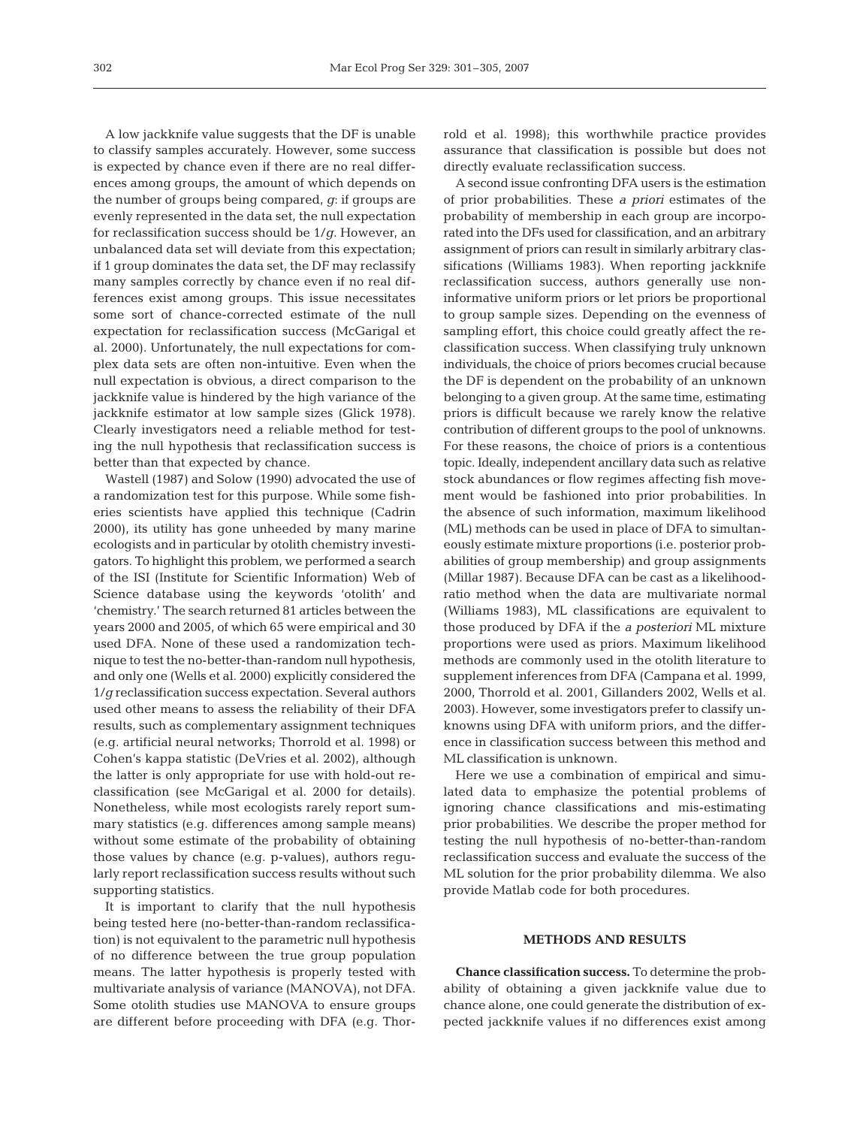A low jackknife value suggests that the DF is unable to classify samples accurately. However, some success is expected by chance even if there are no real differences among groups, the amount of which depends on the number of groups being compared, *g*: if groups are evenly represented in the data set, the null expectation for reclassification success should be 1/*g.* However, an unbalanced data set will deviate from this expectation; if 1 group dominates the data set, the DF may reclassify many samples correctly by chance even if no real differences exist among groups. This issue necessitates some sort of chance-corrected estimate of the null expectation for reclassification success (McGarigal et al. 2000). Unfortunately, the null expectations for complex data sets are often non-intuitive. Even when the null expectation is obvious, a direct comparison to the jackknife value is hindered by the high variance of the jackknife estimator at low sample sizes (Glick 1978). Clearly investigators need a reliable method for testing the null hypothesis that reclassification success is better than that expected by chance.

Wastell (1987) and Solow (1990) advocated the use of a randomization test for this purpose. While some fisheries scientists have applied this technique (Cadrin 2000), its utility has gone unheeded by many marine ecologists and in particular by otolith chemistry investigators. To highlight this problem, we performed a search of the ISI (Institute for Scientific Information) Web of Science database using the keywords 'otolith' and 'chemistry.' The search returned 81 articles between the years 2000 and 2005, of which 65 were empirical and 30 used DFA. None of these used a randomization technique to test the no-better-than-random null hypothesis, and only one (Wells et al. 2000) explicitly considered the 1/*g* reclassification success expectation. Several authors used other means to assess the reliability of their DFA results, such as complementary assignment techniques (e.g. artificial neural networks; Thorrold et al. 1998) or Cohen's kappa statistic (DeVries et al. 2002), although the latter is only appropriate for use with hold-out reclassification (see McGarigal et al. 2000 for details). Nonetheless, while most ecologists rarely report summary statistics (e.g. differences among sample means) without some estimate of the probability of obtaining those values by chance (e.g. p-values), authors regularly report reclassification success results without such supporting statistics.

It is important to clarify that the null hypothesis being tested here (no-better-than-random reclassification) is not equivalent to the parametric null hypothesis of no difference between the true group population means. The latter hypothesis is properly tested with multivariate analysis of variance (MANOVA), not DFA. Some otolith studies use MANOVA to ensure groups are different before proceeding with DFA (e.g. Thorrold et al. 1998); this worthwhile practice provides assurance that classification is possible but does not directly evaluate reclassification success.

A second issue confronting DFA users is the estimation of prior probabilities. These *a priori* estimates of the probability of membership in each group are incorporated into the DFs used for classification, and an arbitrary assignment of priors can result in similarly arbitrary classifications (Williams 1983). When reporting jackknife reclassification success, authors generally use noninformative uniform priors or let priors be proportional to group sample sizes. Depending on the evenness of sampling effort, this choice could greatly affect the reclassification success. When classifying truly unknown individuals, the choice of priors becomes crucial because the DF is dependent on the probability of an unknown belonging to a given group. At the same time, estimating priors is difficult because we rarely know the relative contribution of different groups to the pool of unknowns. For these reasons, the choice of priors is a contentious topic. Ideally, independent ancillary data such as relative stock abundances or flow regimes affecting fish movement would be fashioned into prior probabilities. In the absence of such information, maximum likelihood (ML) methods can be used in place of DFA to simultaneously estimate mixture proportions (i.e. posterior probabilities of group membership) and group assignments (Millar 1987). Because DFA can be cast as a likelihoodratio method when the data are multivariate normal (Williams 1983), ML classifications are equivalent to those produced by DFA if the *a posteriori* ML mixture proportions were used as priors. Maximum likelihood methods are commonly used in the otolith literature to supplement inferences from DFA (Campana et al. 1999, 2000, Thorrold et al. 2001, Gillanders 2002, Wells et al. 2003). However, some investigators prefer to classify unknowns using DFA with uniform priors, and the difference in classification success between this method and ML classification is unknown.

Here we use a combination of empirical and simulated data to emphasize the potential problems of ignoring chance classifications and mis-estimating prior probabilities. We describe the proper method for testing the null hypothesis of no-better-than-random reclassification success and evaluate the success of the ML solution for the prior probability dilemma. We also provide Matlab code for both procedures.

## **METHODS AND RESULTS**

**Chance classification success.** To determine the probability of obtaining a given jackknife value due to chance alone, one could generate the distribution of expected jackknife values if no differences exist among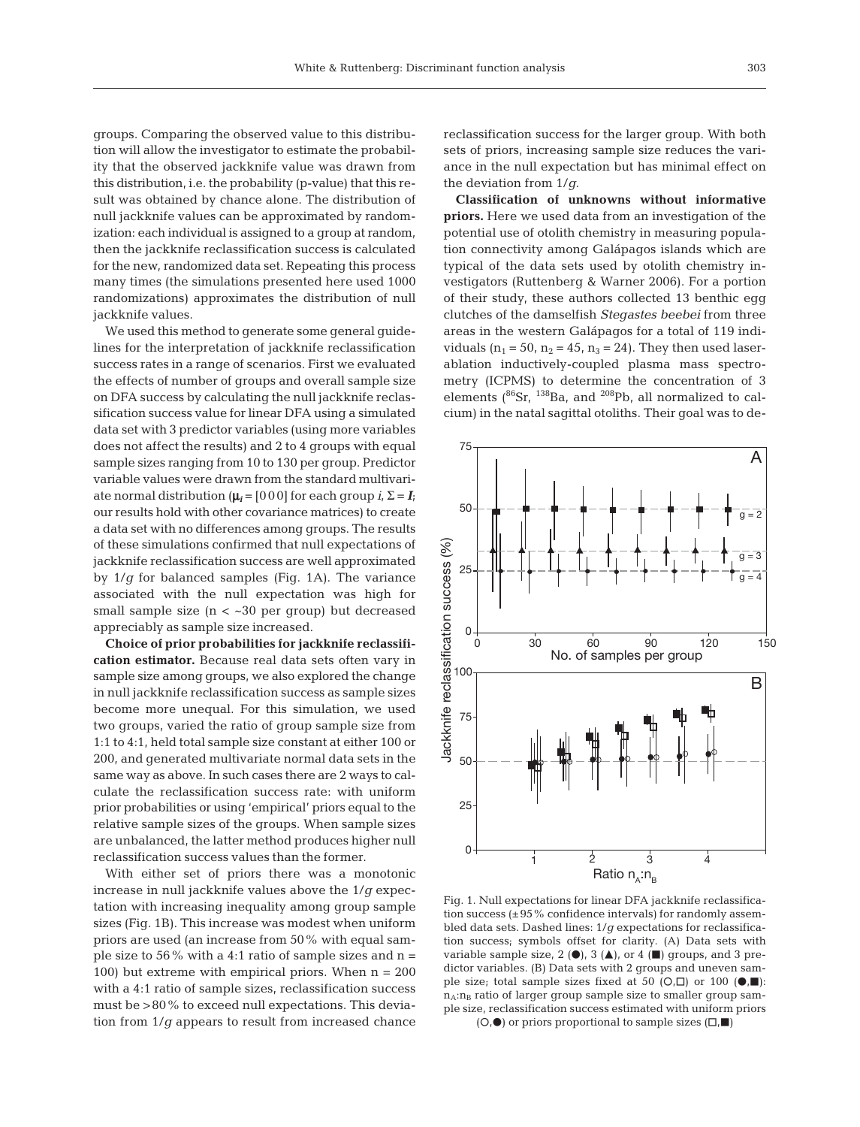groups. Comparing the observed value to this distribution will allow the investigator to estimate the probability that the observed jackknife value was drawn from this distribution, i.e. the probability (p-value) that this result was obtained by chance alone. The distribution of null jackknife values can be approximated by randomization: each individual is assigned to a group at random, then the jackknife reclassification success is calculated for the new, randomized data set. Repeating this process many times (the simulations presented here used 1000 randomizations) approximates the distribution of null jackknife values.

We used this method to generate some general guidelines for the interpretation of jackknife reclassification success rates in a range of scenarios. First we evaluated the effects of number of groups and overall sample size on DFA success by calculating the null jackknife reclassification success value for linear DFA using a simulated data set with 3 predictor variables (using more variables does not affect the results) and 2 to 4 groups with equal sample sizes ranging from 10 to 130 per group. Predictor variable values were drawn from the standard multivariate normal distribution  $(\mu_i = [000]$  for each group  $i, \Sigma = I_i$ ; our results hold with other covariance matrices) to create a data set with no differences among groups. The results of these simulations confirmed that null expectations of jackknife reclassification success are well approximated by 1/*g* for balanced samples (Fig. 1A). The variance associated with the null expectation was high for small sample size  $(n < -30$  per group) but decreased appreciably as sample size increased.

**Choice of prior probabilities for jackknife reclassification estimator.** Because real data sets often vary in sample size among groups, we also explored the change in null jackknife reclassification success as sample sizes become more unequal. For this simulation, we used two groups, varied the ratio of group sample size from 1:1 to 4:1, held total sample size constant at either 100 or 200, and generated multivariate normal data sets in the same way as above. In such cases there are 2 ways to calculate the reclassification success rate: with uniform prior probabilities or using 'empirical' priors equal to the relative sample sizes of the groups. When sample sizes are unbalanced, the latter method produces higher null reclassification success values than the former.

With either set of priors there was a monotonic increase in null jackknife values above the 1/*g* expectation with increasing inequality among group sample sizes (Fig. 1B). This increase was modest when uniform priors are used (an increase from 50% with equal sample size to 56% with a 4:1 ratio of sample sizes and  $n =$ 100) but extreme with empirical priors. When  $n = 200$ with a 4:1 ratio of sample sizes, reclassification success must be >80% to exceed null expectations. This deviation from 1/*g* appears to result from increased chance

reclassification success for the larger group. With both sets of priors, increasing sample size reduces the variance in the null expectation but has minimal effect on the deviation from 1/*g*.

**Classification of unknowns without informative priors.** Here we used data from an investigation of the potential use of otolith chemistry in measuring population connectivity among Galápagos islands which are typical of the data sets used by otolith chemistry investigators (Ruttenberg & Warner 2006). For a portion of their study, these authors collected 13 benthic egg clutches of the damselfish *Stegastes beebei* from three areas in the western Galápagos for a total of 119 individuals  $(n_1 = 50, n_2 = 45, n_3 = 24)$ . They then used laserablation inductively-coupled plasma mass spectrometry (ICPMS) to determine the concentration of 3 elements  $(^{86}Sr, ^{138}Ba,$  and  $^{208}Pb,$  all normalized to calcium) in the natal sagittal otoliths. Their goal was to de-



Fig. 1. Null expectations for linear DFA jackknife reclassification success  $(\pm 95\%$  confidence intervals) for randomly assembled data sets. Dashed lines: 1/*g* expectations for reclassification success; symbols offset for clarity. (A) Data sets with variable sample size,  $2$  ( $\bullet$ ),  $3$  ( $\blacktriangle$ ), or 4 ( $\blacksquare$ ) groups, and 3 predictor variables. (B) Data sets with 2 groups and uneven sample size; total sample sizes fixed at 50  $(O,\Box)$  or 100  $(\bullet,\blacksquare)$ :  $n_A:n_B$  ratio of larger group sample size to smaller group sample size, reclassification success estimated with uniform priors

 $(O, \bullet)$  or priors proportional to sample sizes  $(\Box, \blacksquare)$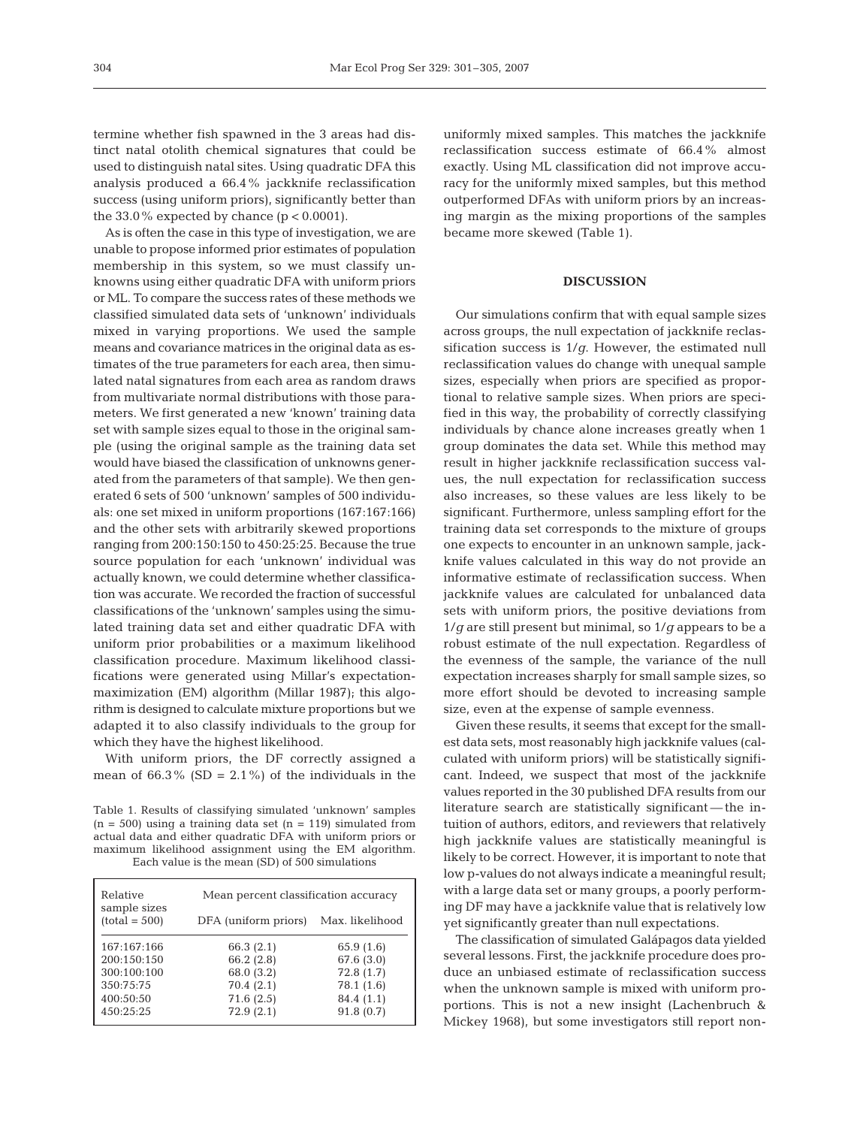termine whether fish spawned in the 3 areas had distinct natal otolith chemical signatures that could be used to distinguish natal sites. Using quadratic DFA this analysis produced a 66.4% jackknife reclassification success (using uniform priors), significantly better than the  $33.0\%$  expected by chance (p < 0.0001).

As is often the case in this type of investigation, we are unable to propose informed prior estimates of population membership in this system, so we must classify unknowns using either quadratic DFA with uniform priors or ML. To compare the success rates of these methods we classified simulated data sets of 'unknown' individuals mixed in varying proportions. We used the sample means and covariance matrices in the original data as estimates of the true parameters for each area, then simulated natal signatures from each area as random draws from multivariate normal distributions with those parameters. We first generated a new 'known' training data set with sample sizes equal to those in the original sample (using the original sample as the training data set would have biased the classification of unknowns generated from the parameters of that sample). We then generated 6 sets of 500 'unknown' samples of 500 individuals: one set mixed in uniform proportions (167:167:166) and the other sets with arbitrarily skewed proportions ranging from 200:150:150 to 450:25:25. Because the true source population for each 'unknown' individual was actually known, we could determine whether classification was accurate. We recorded the fraction of successful classifications of the 'unknown' samples using the simulated training data set and either quadratic DFA with uniform prior probabilities or a maximum likelihood classification procedure. Maximum likelihood classifications were generated using Millar's expectationmaximization (EM) algorithm (Millar 1987); this algorithm is designed to calculate mixture proportions but we adapted it to also classify individuals to the group for which they have the highest likelihood.

With uniform priors, the DF correctly assigned a mean of  $66.3\%$  (SD =  $2.1\%$ ) of the individuals in the

Table 1. Results of classifying simulated 'unknown' samples  $(n = 500)$  using a training data set  $(n = 119)$  simulated from actual data and either quadratic DFA with uniform priors or maximum likelihood assignment using the EM algorithm. Each value is the mean (SD) of 500 simulations

| Relative<br>sample sizes | Mean percent classification accuracy |                 |
|--------------------------|--------------------------------------|-----------------|
| $(total = 500)$          | DFA (uniform priors)                 | Max. likelihood |
| 167:167:166              | 66.3 (2.1)                           | 65.9 (1.6)      |
| 200:150:150              | 66.2(2.8)                            | 67.6 (3.0)      |
| 300:100:100              | 68.0 (3.2)                           | 72.8(1.7)       |
| 350:75:75                | 70.4(2.1)                            | 78.1 (1.6)      |
| 400:50:50                | 71.6(2.5)                            | 84.4 (1.1)      |
| 450:25:25                | 72.9(2.1)                            | 91.8(0.7)       |

uniformly mixed samples. This matches the jackknife reclassification success estimate of 66.4% almost exactly. Using ML classification did not improve accuracy for the uniformly mixed samples, but this method outperformed DFAs with uniform priors by an increasing margin as the mixing proportions of the samples became more skewed (Table 1).

#### **DISCUSSION**

Our simulations confirm that with equal sample sizes across groups, the null expectation of jackknife reclassification success is  $1/q$ . However, the estimated null reclassification values do change with unequal sample sizes, especially when priors are specified as proportional to relative sample sizes. When priors are specified in this way, the probability of correctly classifying individuals by chance alone increases greatly when 1 group dominates the data set. While this method may result in higher jackknife reclassification success values, the null expectation for reclassification success also increases, so these values are less likely to be significant. Furthermore, unless sampling effort for the training data set corresponds to the mixture of groups one expects to encounter in an unknown sample, jackknife values calculated in this way do not provide an informative estimate of reclassification success. When jackknife values are calculated for unbalanced data sets with uniform priors, the positive deviations from 1/*g* are still present but minimal, so 1/*g* appears to be a robust estimate of the null expectation. Regardless of the evenness of the sample, the variance of the null expectation increases sharply for small sample sizes, so more effort should be devoted to increasing sample size, even at the expense of sample evenness.

Given these results, it seems that except for the smallest data sets, most reasonably high jackknife values (calculated with uniform priors) will be statistically significant. Indeed, we suspect that most of the jackknife values reported in the 30 published DFA results from our literature search are statistically significant — the intuition of authors, editors, and reviewers that relatively high jackknife values are statistically meaningful is likely to be correct. However, it is important to note that low p-values do not always indicate a meaningful result; with a large data set or many groups, a poorly performing DF may have a jackknife value that is relatively low yet significantly greater than null expectations.

The classification of simulated Galápagos data yielded several lessons. First, the jackknife procedure does produce an unbiased estimate of reclassification success when the unknown sample is mixed with uniform proportions. This is not a new insight (Lachenbruch & Mickey 1968), but some investigators still report non